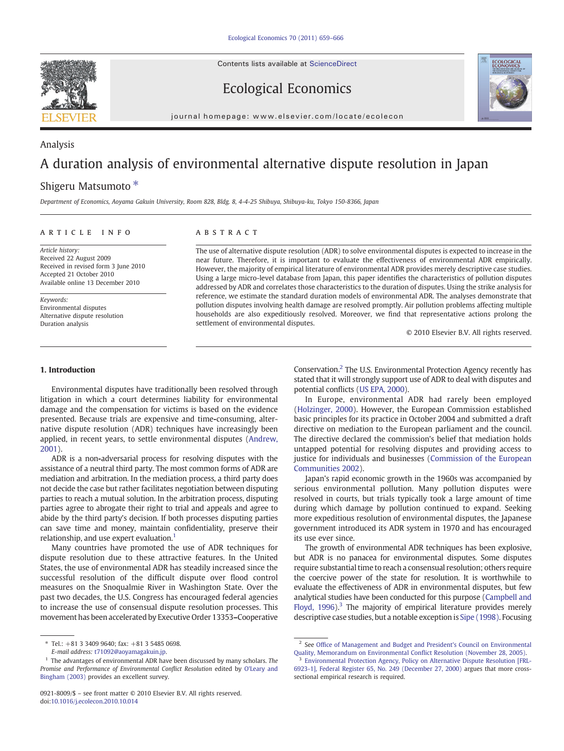Contents lists available at ScienceDirect



Ecological Economics



journal homepage: www.elsevier.com/locate/ecolecon

# Analysis A duration analysis of environmental alternative dispute resolution in Japan

## Shigeru Matsumoto<sup>\*</sup>

Department of Economics, Aoyama Gakuin University, Room 828, Bldg. 8, 4-4-25 Shibuya, Shibuya-ku, Tokyo 150-8366, Japan

### article info abstract

Article history: Received 22 August 2009 Received in revised form 3 June 2010 Accepted 21 October 2010 Available online 13 December 2010

Keywords: Environmental disputes Alternative dispute resolution Duration analysis

The use of alternative dispute resolution (ADR) to solve environmental disputes is expected to increase in the near future. Therefore, it is important to evaluate the effectiveness of environmental ADR empirically. However, the majority of empirical literature of environmental ADR provides merely descriptive case studies. Using a large micro-level database from Japan, this paper identifies the characteristics of pollution disputes addressed by ADR and correlates those characteristics to the duration of disputes. Using the strike analysis for reference, we estimate the standard duration models of environmental ADR. The analyses demonstrate that pollution disputes involving health damage are resolved promptly. Air pollution problems affecting multiple households are also expeditiously resolved. Moreover, we find that representative actions prolong the settlement of environmental disputes.

© 2010 Elsevier B.V. All rights reserved.

### 1. Introduction

Environmental disputes have traditionally been resolved through litigation in which a court determines liability for environmental damage and the compensation for victims is based on the evidence presented. Because trials are expensive and time-consuming, alternative dispute resolution (ADR) techniques have increasingly been applied, in recent years, to settle environmental disputes ([Andrew,](#page--1-0) [2001\)](#page--1-0).

ADR is a non-adversarial process for resolving disputes with the assistance of a neutral third party. The most common forms of ADR are mediation and arbitration. In the mediation process, a third party does not decide the case but rather facilitates negotiation between disputing parties to reach a mutual solution. In the arbitration process, disputing parties agree to abrogate their right to trial and appeals and agree to abide by the third party's decision. If both processes disputing parties can save time and money, maintain confidentiality, preserve their relationship, and use expert evaluation.<sup>1</sup>

Many countries have promoted the use of ADR techniques for dispute resolution due to these attractive features. In the United States, the use of environmental ADR has steadily increased since the successful resolution of the difficult dispute over flood control measures on the Snoqualmie River in Washington State. Over the past two decades, the U.S. Congress has encouraged federal agencies to increase the use of consensual dispute resolution processes. This movement has been accelerated by Executive Order 13353–Cooperative

Conservation.2 The U.S. Environmental Protection Agency recently has stated that it will strongly support use of ADR to deal with disputes and potential conflicts ([US EPA, 2000](#page--1-0)).

In Europe, environmental ADR had rarely been employed [\(Holzinger, 2000\)](#page--1-0). However, the European Commission established basic principles for its practice in October 2004 and submitted a draft directive on mediation to the European parliament and the council. The directive declared the commission's belief that mediation holds untapped potential for resolving disputes and providing access to justice for individuals and businesses ([Commission of the European](#page--1-0) [Communities 2002\)](#page--1-0).

Japan's rapid economic growth in the 1960s was accompanied by serious environmental pollution. Many pollution disputes were resolved in courts, but trials typically took a large amount of time during which damage by pollution continued to expand. Seeking more expeditious resolution of environmental disputes, the Japanese government introduced its ADR system in 1970 and has encouraged its use ever since.

The growth of environmental ADR techniques has been explosive, but ADR is no panacea for environmental disputes. Some disputes require substantial time to reach a consensual resolution; others require the coercive power of the state for resolution. It is worthwhile to evaluate the effectiveness of ADR in environmental disputes, but few analytical studies have been conducted for this purpose ([Campbell and](#page--1-0) Floyd,  $1996$ ).<sup>3</sup> The majority of empirical literature provides merely descriptive case studies, but a notable exception is [Sipe \(1998\)](#page--1-0). Focusing

 $*$  Tel.: +81 3 3409 9640; fax: +81 3 5485 0698.

E-mail address: [t71092@aoyamagakuin.jp](mailto:t71092@aoyamagakuin.jp).

 $1$  The advantages of environmental ADR have been discussed by many scholars. The Promise and Performance of Environmental Conflict Resolution edited by [O'Leary and](#page--1-0) [Bingham \(2003\)](#page--1-0) provides an excellent survey.

<sup>0921-8009/\$</sup> – see front matter © 2010 Elsevier B.V. All rights reserved. doi:[10.1016/j.ecolecon.2010.10.014](http://dx.doi.org/10.1016/j.ecolecon.2010.10.014)

<sup>&</sup>lt;sup>2</sup> See Offi[ce of Management and Budget and President's Council on Environmental](#page--1-0) [Quality, Memorandum on Environmental Con](#page--1-0)flict Resolution (November 28, 2005).

<sup>&</sup>lt;sup>3</sup> [Environmental Protection Agency, Policy on Alternative Dispute Resolution \[FRL-](#page--1-0)[6923-1\], Federal Register 65, No. 249 \(December 27, 2000\)](#page--1-0) argues that more crosssectional empirical research is required.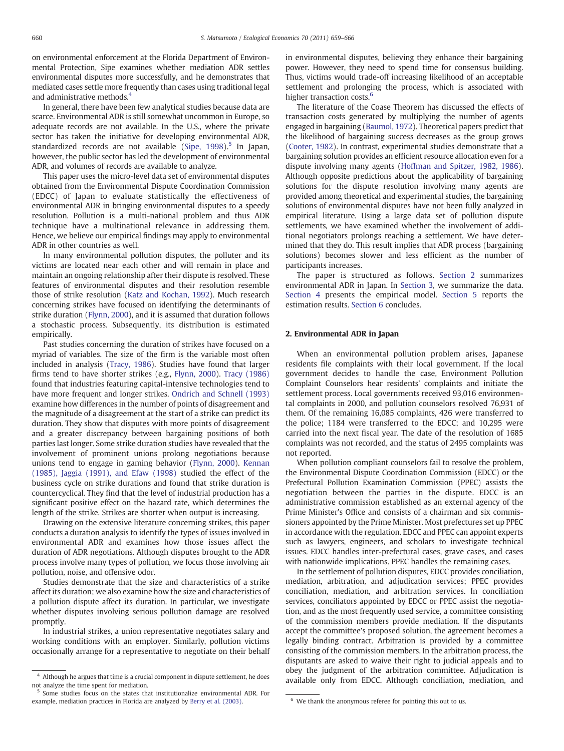on environmental enforcement at the Florida Department of Environmental Protection, Sipe examines whether mediation ADR settles environmental disputes more successfully, and he demonstrates that mediated cases settle more frequently than cases using traditional legal and administrative methods.<sup>4</sup>

In general, there have been few analytical studies because data are scarce. Environmental ADR is still somewhat uncommon in Europe, so adequate records are not available. In the U.S., where the private sector has taken the initiative for developing environmental ADR, standardized records are not available (Sipe,  $1998$ ).<sup>5</sup> In Japan, however, the public sector has led the development of environmental ADR, and volumes of records are available to analyze.

This paper uses the micro-level data set of environmental disputes obtained from the Environmental Dispute Coordination Commission (EDCC) of Japan to evaluate statistically the effectiveness of environmental ADR in bringing environmental disputes to a speedy resolution. Pollution is a multi-national problem and thus ADR technique have a multinational relevance in addressing them. Hence, we believe our empirical findings may apply to environmental ADR in other countries as well.

In many environmental pollution disputes, the polluter and its victims are located near each other and will remain in place and maintain an ongoing relationship after their dispute is resolved. These features of environmental disputes and their resolution resemble those of strike resolution ([Katz and Kochan, 1992](#page--1-0)). Much research concerning strikes have focused on identifying the determinants of strike duration [\(Flynn, 2000\)](#page--1-0), and it is assumed that duration follows a stochastic process. Subsequently, its distribution is estimated empirically.

Past studies concerning the duration of strikes have focused on a myriad of variables. The size of the firm is the variable most often included in analysis [\(Tracy, 1986\)](#page--1-0). Studies have found that larger firms tend to have shorter strikes (e.g., [Flynn, 2000\)](#page--1-0). [Tracy \(1986\)](#page--1-0) found that industries featuring capital-intensive technologies tend to have more frequent and longer strikes. [Ondrich and Schnell \(1993\)](#page--1-0) examine how differences in the number of points of disagreement and the magnitude of a disagreement at the start of a strike can predict its duration. They show that disputes with more points of disagreement and a greater discrepancy between bargaining positions of both parties last longer. Some strike duration studies have revealed that the involvement of prominent unions prolong negotiations because unions tend to engage in gaming behavior ([Flynn, 2000\)](#page--1-0). [Kennan](#page--1-0) [\(1985\), Jaggia \(1991\), and Efaw \(1998\)](#page--1-0) studied the effect of the business cycle on strike durations and found that strike duration is countercyclical. They find that the level of industrial production has a significant positive effect on the hazard rate, which determines the length of the strike. Strikes are shorter when output is increasing.

Drawing on the extensive literature concerning strikes, this paper conducts a duration analysis to identify the types of issues involved in environmental ADR and examines how those issues affect the duration of ADR negotiations. Although disputes brought to the ADR process involve many types of pollution, we focus those involving air pollution, noise, and offensive odor.

Studies demonstrate that the size and characteristics of a strike affect its duration; we also examine how the size and characteristics of a pollution dispute affect its duration. In particular, we investigate whether disputes involving serious pollution damage are resolved promptly.

In industrial strikes, a union representative negotiates salary and working conditions with an employer. Similarly, pollution victims occasionally arrange for a representative to negotiate on their behalf in environmental disputes, believing they enhance their bargaining power. However, they need to spend time for consensus building. Thus, victims would trade-off increasing likelihood of an acceptable settlement and prolonging the process, which is associated with higher transaction costs.<sup>6</sup>

The literature of the Coase Theorem has discussed the effects of transaction costs generated by multiplying the number of agents engaged in bargaining [\(Baumol, 1972\)](#page--1-0). Theoretical papers predict that the likelihood of bargaining success decreases as the group grows [\(Cooter, 1982\)](#page--1-0). In contrast, experimental studies demonstrate that a bargaining solution provides an efficient resource allocation even for a dispute involving many agents ([Hoffman and Spitzer, 1982, 1986](#page--1-0)). Although opposite predictions about the applicability of bargaining solutions for the dispute resolution involving many agents are provided among theoretical and experimental studies, the bargaining solutions of environmental disputes have not been fully analyzed in empirical literature. Using a large data set of pollution dispute settlements, we have examined whether the involvement of additional negotiators prolongs reaching a settlement. We have determined that they do. This result implies that ADR process (bargaining solutions) becomes slower and less efficient as the number of participants increases.

The paper is structured as follows. Section 2 summarizes environmental ADR in Japan. In [Section 3](#page--1-0), we summarize the data. [Section 4](#page--1-0) presents the empirical model. [Section 5](#page--1-0) reports the estimation results. [Section 6](#page--1-0) concludes.

### 2. Environmental ADR in Japan

When an environmental pollution problem arises, Japanese residents file complaints with their local government. If the local government decides to handle the case, Environment Pollution Complaint Counselors hear residents' complaints and initiate the settlement process. Local governments received 93,016 environmental complaints in 2000, and pollution counselors resolved 76,931 of them. Of the remaining 16,085 complaints, 426 were transferred to the police; 1184 were transferred to the EDCC; and 10,295 were carried into the next fiscal year. The date of the resolution of 1685 complaints was not recorded, and the status of 2495 complaints was not reported.

When pollution compliant counselors fail to resolve the problem, the Environmental Dispute Coordination Commission (EDCC) or the Prefectural Pollution Examination Commission (PPEC) assists the negotiation between the parties in the dispute. EDCC is an administrative commission established as an external agency of the Prime Minister's Office and consists of a chairman and six commissioners appointed by the Prime Minister. Most prefectures set up PPEC in accordance with the regulation. EDCC and PPEC can appoint experts such as lawyers, engineers, and scholars to investigate technical issues. EDCC handles inter-prefectural cases, grave cases, and cases with nationwide implications. PPEC handles the remaining cases.

In the settlement of pollution disputes, EDCC provides conciliation, mediation, arbitration, and adjudication services; PPEC provides conciliation, mediation, and arbitration services. In conciliation services, conciliators appointed by EDCC or PPEC assist the negotiation, and as the most frequently used service, a committee consisting of the commission members provide mediation. If the disputants accept the committee's proposed solution, the agreement becomes a legally binding contract. Arbitration is provided by a committee consisting of the commission members. In the arbitration process, the disputants are asked to waive their right to judicial appeals and to obey the judgment of the arbitration committee. Adjudication is available only from EDCC. Although he argues that time is a crucial component in dispute settlement, he does<br>available only from EDCC. Although conciliation, mediation, and

not analyze the time spent for mediation.

<sup>&</sup>lt;sup>5</sup> Some studies focus on the states that institutionalize environmental ADR. For example, mediation practices in Florida are analyzed by [Berry et al. \(2003\)](#page--1-0). <sup>6</sup> We thank the anonymous referee for pointing this out to us.